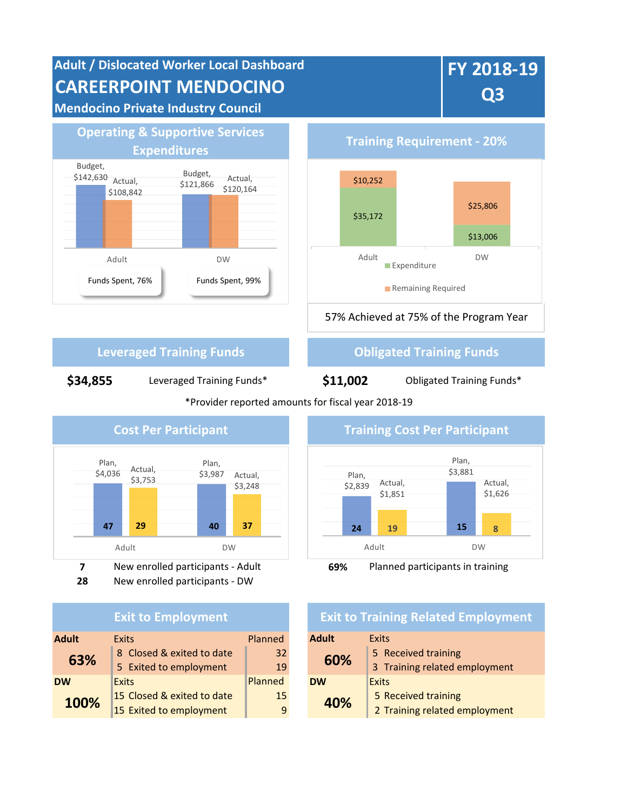



**7** New enrolled participants - Adult **69%** Planned participants in training **28** New enrolled participants - DW

| <b>Exit to Employment</b> |                            |         |              | <b>Exit to Training Related I</b> |  |  |
|---------------------------|----------------------------|---------|--------------|-----------------------------------|--|--|
| <b>Adult</b>              | <b>Exits</b>               | Planned | <b>Adult</b> | Exits                             |  |  |
| 63%                       | 8 Closed & exited to date  | 32      | 60%          | 5 Received training               |  |  |
|                           | 5 Exited to employment     | 19      |              | 3 Training related e              |  |  |
| <b>DW</b>                 | <b>Exits</b>               | Planned | <b>DW</b>    | <b>Exits</b>                      |  |  |
| 100%                      | 15 Closed & exited to date | 15      | 40%          | 5 Received training               |  |  |
|                           | 15 Exited to employment    | 9       |              | 2 Training related e              |  |  |



## **Exit to Training Related Employment**

| <b>Exits</b>               | <b>Planned</b> | <b>Adult</b>       | <b>Exits</b>                  |  |  |
|----------------------------|----------------|--------------------|-------------------------------|--|--|
| 8 Closed & exited to date  | 32             | 60%                | 5 Received training           |  |  |
| 5 Exited to employment     | 19             |                    | 3 Training related employment |  |  |
| <b>Exits</b>               | Planned        | Exits<br><b>DW</b> |                               |  |  |
| 15 Closed & exited to date | 15             | 40%                | 5 Received training           |  |  |
| 15 Exited to employment    | 9              |                    | 2 Training related employment |  |  |